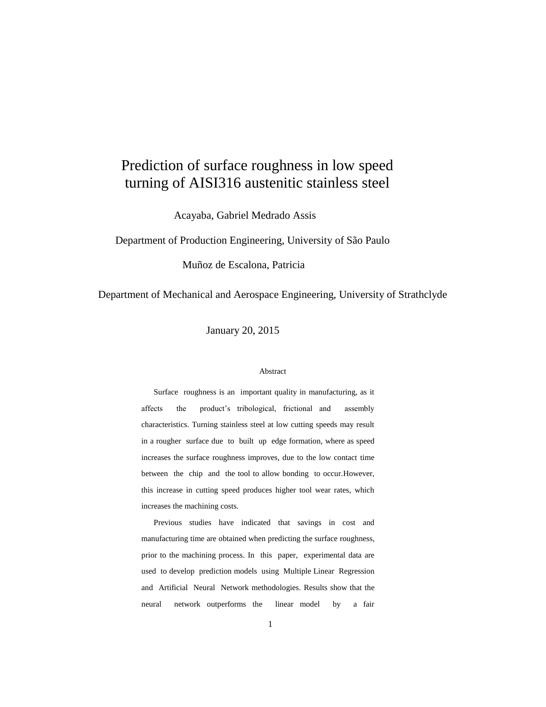# Prediction of surface roughness in low speed turning of AISI316 austenitic stainless steel

Acayaba, Gabriel Medrado Assis

Department of Production Engineering, University of São Paulo

Muñoz de Escalona, Patricia

Department of Mechanical and Aerospace Engineering, University of Strathclyde

January 20, 2015

#### Abstract

Surface roughness is an important quality in manufacturing, as it affects the product's tribological, frictional and assembly characteristics. Turning stainless steel at low cutting speeds may result in a rougher surface due to built up edge formation, where as speed increases the surface roughness improves, due to the low contact time between the chip and the tool to allow bonding to occur.However, this increase in cutting speed produces higher tool wear rates, which increases the machining costs.

Previous studies have indicated that savings in cost and manufacturing time are obtained when predicting the surface roughness, prior to the machining process. In this paper, experimental data are used to develop prediction models using Multiple Linear Regression and Artificial Neural Network methodologies. Results show that the neural network outperforms the linear model by a fair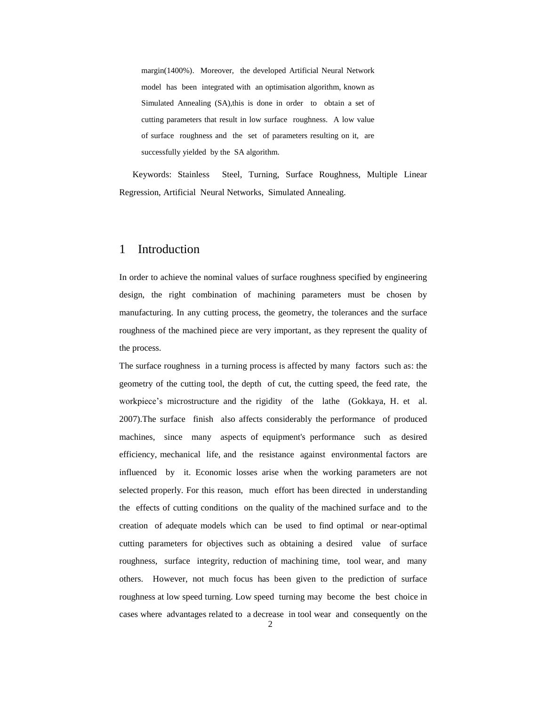margin(1400%). Moreover, the developed Artificial Neural Network model has been integrated with an optimisation algorithm, known as Simulated Annealing (SA),this is done in order to obtain a set of cutting parameters that result in low surface roughness. A low value of surface roughness and the set of parameters resulting on it, are successfully yielded by the SA algorithm.

Keywords: Stainless Steel, Turning, Surface Roughness, Multiple Linear Regression, Artificial Neural Networks, Simulated Annealing.

## 1 Introduction

In order to achieve the nominal values of surface roughness specified by engineering design, the right combination of machining parameters must be chosen by manufacturing. In any cutting process, the geometry, the tolerances and the surface roughness of the machined piece are very important, as they represent the quality of the process.

The surface roughness in a turning process is affected by many factors such as: the geometry of the cutting tool, the depth of cut, the cutting speed, the feed rate, the workpiece's microstructure and the rigidity of the lathe (Gokkaya, H. et al. 2007).The surface finish also affects considerably the performance of produced machines, since many aspects of equipment's performance such as desired efficiency, mechanical life, and the resistance against environmental factors are influenced by it. Economic losses arise when the working parameters are not selected properly. For this reason, much effort has been directed in understanding the effects of cutting conditions on the quality of the machined surface and to the creation of adequate models which can be used to find optimal or near-optimal cutting parameters for objectives such as obtaining a desired value of surface roughness, surface integrity, reduction of machining time, tool wear, and many others. However, not much focus has been given to the prediction of surface roughness at low speed turning. Low speed turning may become the best choice in cases where advantages related to a decrease in tool wear and consequently on the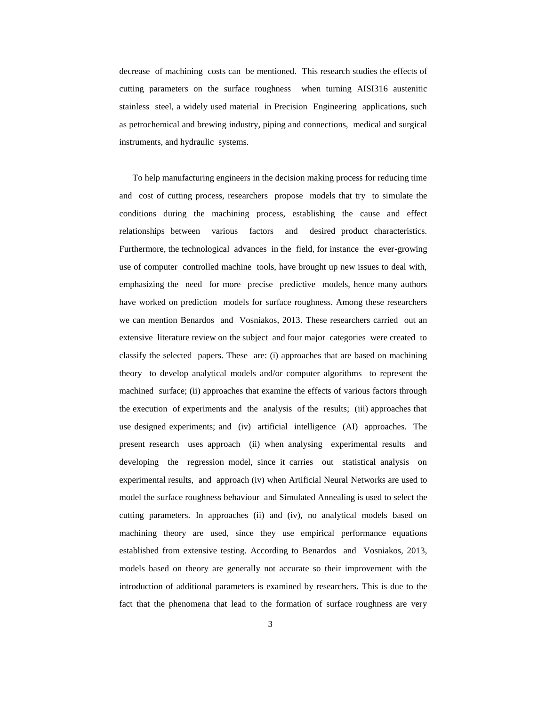decrease of machining costs can be mentioned. This research studies the effects of cutting parameters on the surface roughness when turning AISI316 austenitic stainless steel, a widely used material in Precision Engineering applications, such as petrochemical and brewing industry, piping and connections, medical and surgical instruments, and hydraulic systems.

To help manufacturing engineers in the decision making process for reducing time and cost of cutting process, researchers propose models that try to simulate the conditions during the machining process, establishing the cause and effect relationships between various factors and desired product characteristics. Furthermore, the technological advances in the field, for instance the ever-growing use of computer controlled machine tools, have brought up new issues to deal with, emphasizing the need for more precise predictive models, hence many authors have worked on prediction models for surface roughness. Among these researchers we can mention Benardos and Vosniakos, 2013. These researchers carried out an extensive literature review on the subject and four major categories were created to classify the selected papers. These are: (i) approaches that are based on machining theory to develop analytical models and/or computer algorithms to represent the machined surface; (ii) approaches that examine the effects of various factors through the execution of experiments and the analysis of the results; (iii) approaches that use designed experiments; and (iv) artificial intelligence (AI) approaches. The present research uses approach (ii) when analysing experimental results and developing the regression model, since it carries out statistical analysis on experimental results, and approach (iv) when Artificial Neural Networks are used to model the surface roughness behaviour and Simulated Annealing is used to select the cutting parameters. In approaches (ii) and (iv), no analytical models based on machining theory are used, since they use empirical performance equations established from extensive testing. According to Benardos and Vosniakos, 2013, models based on theory are generally not accurate so their improvement with the introduction of additional parameters is examined by researchers. This is due to the fact that the phenomena that lead to the formation of surface roughness are very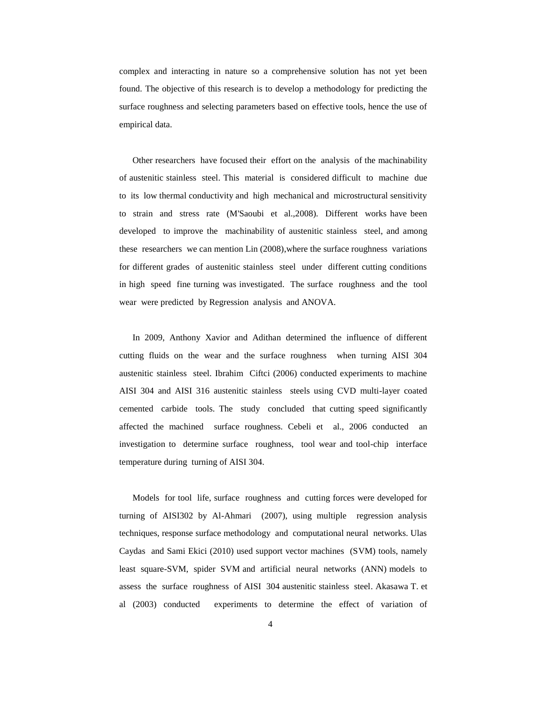complex and interacting in nature so a comprehensive solution has not yet been found. The objective of this research is to develop a methodology for predicting the surface roughness and selecting parameters based on effective tools, hence the use of empirical data.

Other researchers have focused their effort on the analysis of the machinability of austenitic stainless steel. This material is considered difficult to machine due to its low thermal conductivity and high mechanical and microstructural sensitivity to strain and stress rate (M'Saoubi et al.,2008). Different works have been developed to improve the machinability of austenitic stainless steel, and among these researchers we can mention Lin (2008),where the surface roughness variations for different grades of austenitic stainless steel under different cutting conditions in high speed fine turning was investigated. The surface roughness and the tool wear were predicted by Regression analysis and ANOVA.

In 2009, Anthony Xavior and Adithan determined the influence of different cutting fluids on the wear and the surface roughness when turning AISI 304 austenitic stainless steel. Ibrahim Ciftci (2006) conducted experiments to machine AISI 304 and AISI 316 austenitic stainless steels using CVD multi-layer coated cemented carbide tools. The study concluded that cutting speed significantly affected the machined surface roughness. Cebeli et al., 2006 conducted an investigation to determine surface roughness, tool wear and tool-chip interface temperature during turning of AISI 304.

Models for tool life, surface roughness and cutting forces were developed for turning of AISI302 by Al-Ahmari (2007), using multiple regression analysis techniques, response surface methodology and computational neural networks. Ulas Caydas and Sami Ekici (2010) used support vector machines (SVM) tools, namely least square-SVM, spider SVM and artificial neural networks (ANN) models to assess the surface roughness of AISI 304 austenitic stainless steel. Akasawa T. et al (2003) conducted experiments to determine the effect of variation of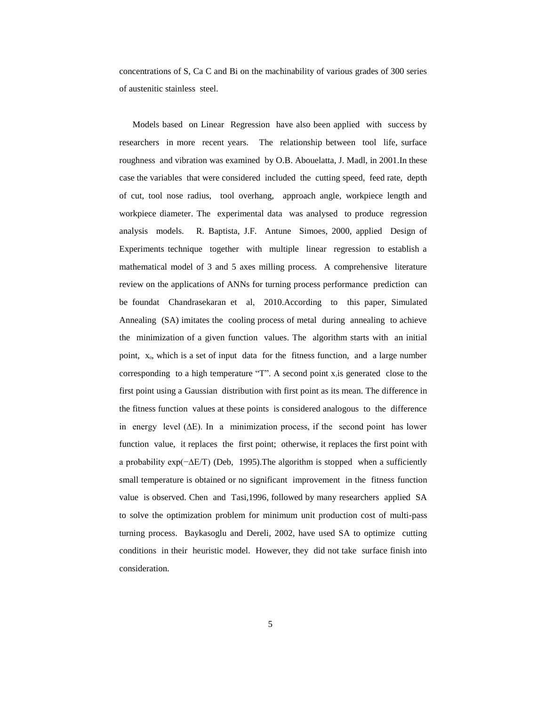concentrations of S, Ca C and Bi on the machinability of various grades of 300 series of austenitic stainless steel.

Models based on Linear Regression have also been applied with success by researchers in more recent years. The relationship between tool life, surface roughness and vibration was examined by O.B. Abouelatta, J. Madl, in 2001.In these case the variables that were considered included the cutting speed, feed rate, depth of cut, tool nose radius, tool overhang, approach angle, workpiece length and workpiece diameter. The experimental data was analysed to produce regression analysis models. R. Baptista, J.F. Antune Simoes, 2000, applied Design of Experiments technique together with multiple linear regression to establish a mathematical model of 3 and 5 axes milling process. A comprehensive literature review on the applications of ANNs for turning process performance prediction can be foundat Chandrasekaran et al, 2010.According to this paper, Simulated Annealing (SA) imitates the cooling process of metal during annealing to achieve the minimization of a given function values. The algorithm starts with an initial point,  $x_0$ , which is a set of input data for the fitness function, and a large number corresponding to a high temperature "T". A second point  $x<sub>i</sub>$  is generated close to the first point using a Gaussian distribution with first point as its mean. The difference in the fitness function values at these points is considered analogous to the difference in energy level (∆E). In a minimization process, if the second point has lower function value, it replaces the first point; otherwise, it replaces the first point with a probability exp(−∆E/T) (Deb, 1995).The algorithm is stopped when a sufficiently small temperature is obtained or no significant improvement in the fitness function value is observed. Chen and Tasi,1996, followed by many researchers applied SA to solve the optimization problem for minimum unit production cost of multi-pass turning process. Baykasoglu and Dereli, 2002, have used SA to optimize cutting conditions in their heuristic model. However, they did not take surface finish into consideration.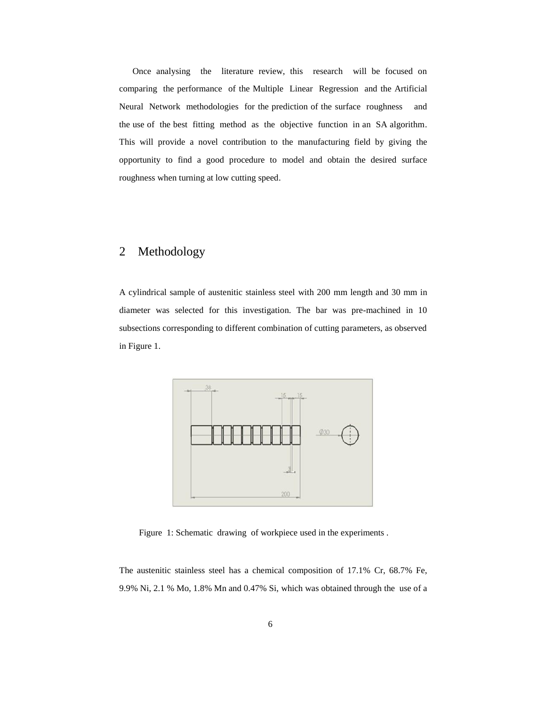Once analysing the literature review, this research will be focused on comparing the performance of the Multiple Linear Regression and the Artificial Neural Network methodologies for the prediction of the surface roughness and the use of the best fitting method as the objective function in an SA algorithm. This will provide a novel contribution to the manufacturing field by giving the opportunity to find a good procedure to model and obtain the desired surface roughness when turning at low cutting speed.

# 2 Methodology

A cylindrical sample of austenitic stainless steel with 200 mm length and 30 mm in diameter was selected for this investigation. The bar was pre-machined in 10 subsections corresponding to different combination of cutting parameters, as observed in Figure 1.



Figure 1: Schematic drawing of workpiece used in the experiments .

The austenitic stainless steel has a chemical composition of 17.1% Cr, 68.7% Fe, 9.9% Ni, 2.1 % Mo, 1.8% Mn and 0.47% Si, which was obtained through the use of a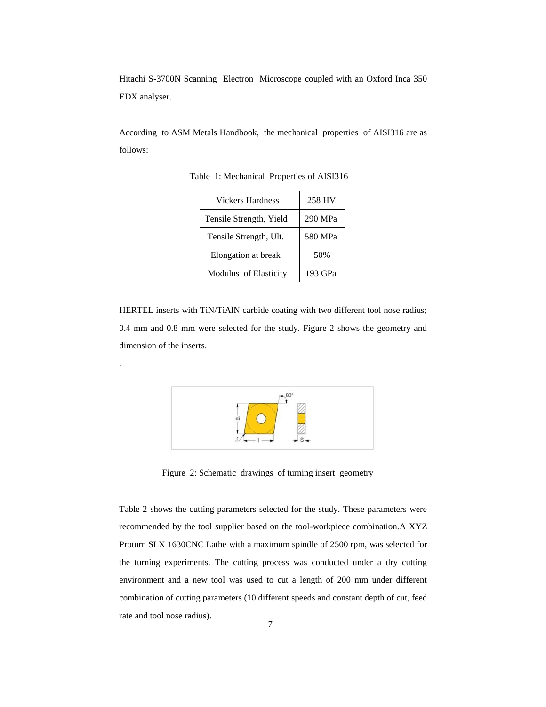Hitachi S-3700N Scanning Electron Microscope coupled with an Oxford Inca 350 EDX analyser.

According to ASM Metals Handbook, the mechanical properties of AISI316 are as follows:

| <b>Vickers Hardness</b> | 258 HV  |
|-------------------------|---------|
| Tensile Strength, Yield | 290 MPa |
| Tensile Strength, Ult.  | 580 MPa |
| Elongation at break     | 50%     |
| Modulus of Elasticity   | 193 GPa |

Table 1: Mechanical Properties of AISI316

HERTEL inserts with TiN/TiAlN carbide coating with two different tool nose radius; 0.4 mm and 0.8 mm were selected for the study. Figure 2 shows the geometry and dimension of the inserts.

.



Figure 2: Schematic drawings of turning insert geometry

Table 2 shows the cutting parameters selected for the study. These parameters were recommended by the tool supplier based on the tool-workpiece combination.A XYZ Proturn SLX 1630CNC Lathe with a maximum spindle of 2500 rpm, was selected for the turning experiments. The cutting process was conducted under a dry cutting environment and a new tool was used to cut a length of 200 mm under different combination of cutting parameters (10 different speeds and constant depth of cut, feed rate and tool nose radius).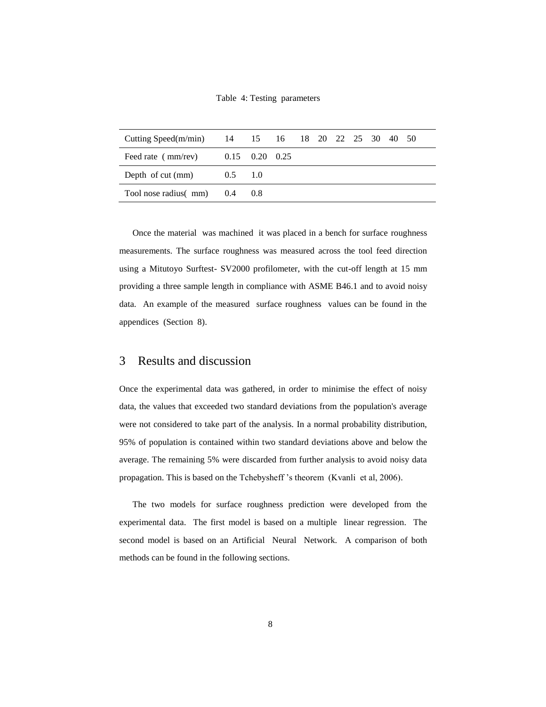Table 4: Testing parameters

| Cutting Speed(m/min) 14 15 16 18 20 22 25 30 40 50 |  |  |  |  |  |  |
|----------------------------------------------------|--|--|--|--|--|--|
| Feed rate ( $mm/rev$ ) $0.15$ $0.20$ $0.25$        |  |  |  |  |  |  |
| Depth of cut $\text{(mm)}$ 0.5 1.0                 |  |  |  |  |  |  |
| Tool nose radius( $mm$ ) 0.4 0.8                   |  |  |  |  |  |  |

Once the material was machined it was placed in a bench for surface roughness measurements. The surface roughness was measured across the tool feed direction using a Mitutoyo Surftest- SV2000 profilometer, with the cut-off length at 15 mm providing a three sample length in compliance with ASME B46.1 and to avoid noisy data. An example of the measured surface roughness values can be found in the appendices (Section 8).

#### 3 Results and discussion

Once the experimental data was gathered, in order to minimise the effect of noisy data, the values that exceeded two standard deviations from the population's average were not considered to take part of the analysis. In a normal probability distribution, 95% of population is contained within two standard deviations above and below the average. The remaining 5% were discarded from further analysis to avoid noisy data propagation. This is based on the Tchebysheff 's theorem (Kvanli et al, 2006).

The two models for surface roughness prediction were developed from the experimental data. The first model is based on a multiple linear regression. The second model is based on an Artificial Neural Network. A comparison of both methods can be found in the following sections.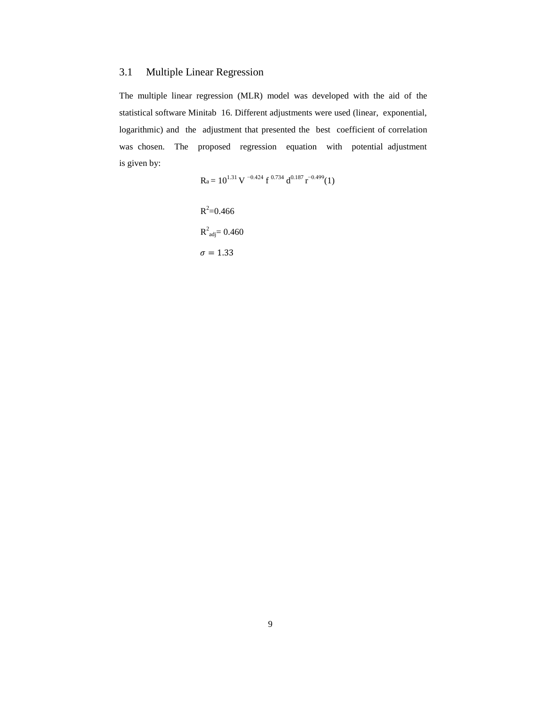## 3.1 Multiple Linear Regression

The multiple linear regression (MLR) model was developed with the aid of the statistical software Minitab 16. Different adjustments were used (linear, exponential, logarithmic) and the adjustment that presented the best coefficient of correlation was chosen. The proposed regression equation with potential adjustment is given by:

$$
R_a = 10^{1.31} \, V^{-0.424} \, f^{0.734} \, d^{0.187} \, r^{-0.499} (1)
$$

 $R^2 = 0.466$  $R^2_{\text{adj}} = 0.460$  $\sigma=1.33$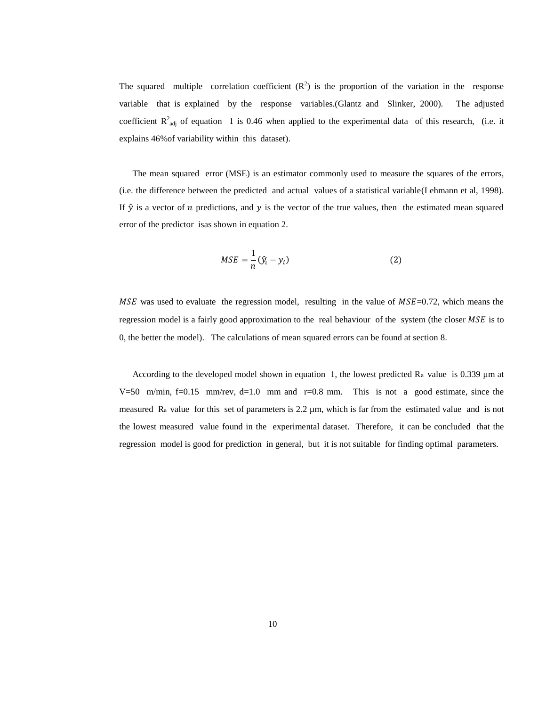The squared multiple correlation coefficient  $(R^2)$  is the proportion of the variation in the response variable that is explained by the response variables.(Glantz and Slinker, 2000). The adjusted coefficient  $R^2_{adj}$  of equation 1 is 0.46 when applied to the experimental data of this research, (i.e. it explains 46%of variability within this dataset).

The mean squared error (MSE) is an estimator commonly used to measure the squares of the errors, (i.e. the difference between the predicted and actual values of a statistical variable(Lehmann et al, 1998). If  $\hat{y}$  is a vector of *n* predictions, and y is the vector of the true values, then the estimated mean squared error of the predictor isas shown in equation 2.

$$
MSE = \frac{1}{n} (\hat{y_i} - y_i)
$$
 (2)

MSE was used to evaluate the regression model, resulting in the value of  $MSE=0.72$ , which means the regression model is a fairly good approximation to the real behaviour of the system (the closer  $MSE$  is to 0, the better the model). The calculations of mean squared errors can be found at section 8.

According to the developed model shown in equation 1, the lowest predicted  $\rm R_a$  value is 0.339  $\mu$ m at V=50 m/min, f=0.15 mm/rev, d=1.0 mm and r=0.8 mm. This is not a good estimate, since the measured Ra value for this set of parameters is 2.2 µm, which is far from the estimated value and is not the lowest measured value found in the experimental dataset. Therefore, it can be concluded that the regression model is good for prediction in general, but it is not suitable for finding optimal parameters.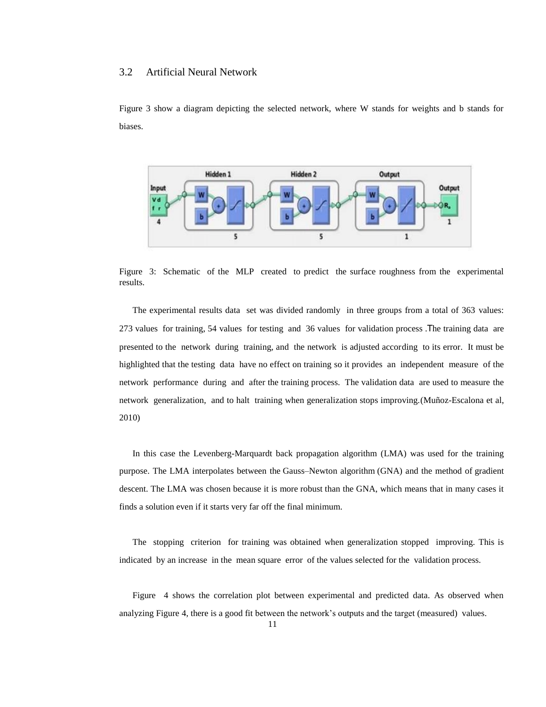#### 3.2 Artificial Neural Network

Figure 3 show a diagram depicting the selected network, where W stands for weights and b stands for biases.



Figure 3: Schematic of the MLP created to predict the surface roughness from the experimental results.

The experimental results data set was divided randomly in three groups from a total of 363 values: 273 values for training, 54 values for testing and 36 values for validation process .The training data are presented to the network during training, and the network is adjusted according to its error. It must be highlighted that the testing data have no effect on training so it provides an independent measure of the network performance during and after the training process. The validation data are used to measure the network generalization, and to halt training when generalization stops improving.(Muñoz-Escalona et al, 2010)

In this case the Levenberg-Marquardt back propagation algorithm (LMA) was used for the training purpose. The LMA interpolates between the Gauss–Newton algorithm (GNA) and the method of gradient descent. The LMA was chosen because it is more robust than the GNA, which means that in many cases it finds a solution even if it starts very far off the final minimum.

The stopping criterion for training was obtained when generalization stopped improving. This is indicated by an increase in the mean square error of the values selected for the validation process.

Figure 4 shows the correlation plot between experimental and predicted data. As observed when analyzing Figure 4, there is a good fit between the network's outputs and the target (measured) values.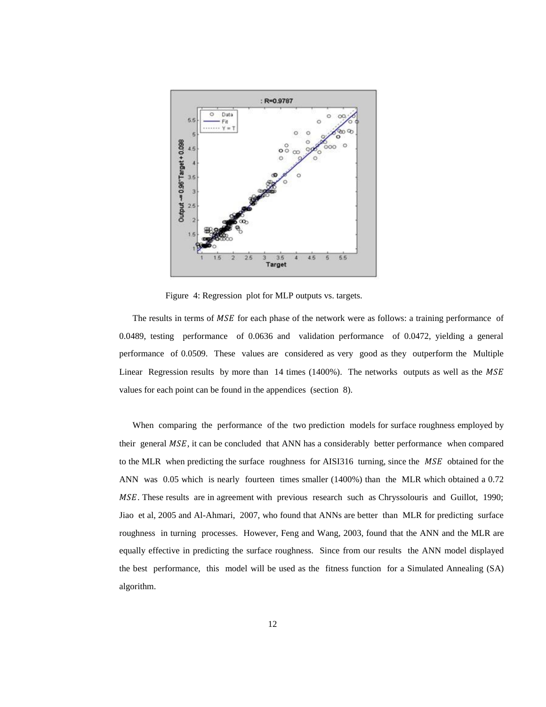

Figure 4: Regression plot for MLP outputs vs. targets.

The results in terms of MSE for each phase of the network were as follows: a training performance of 0.0489, testing performance of 0.0636 and validation performance of 0.0472, yielding a general performance of 0.0509. These values are considered as very good as they outperform the Multiple Linear Regression results by more than  $14$  times (1400%). The networks outputs as well as the  $MSE$ values for each point can be found in the appendices (section 8).

When comparing the performance of the two prediction models for surface roughness employed by their general MSE, it can be concluded that ANN has a considerably better performance when compared to the MLR when predicting the surface roughness for AISI316 turning, since the MSE obtained for the ANN was 0.05 which is nearly fourteen times smaller (1400%) than the MLR which obtained a 0.72 . These results are in agreement with previous research such as Chryssolouris and Guillot, 1990; Jiao et al, 2005 and Al-Ahmari, 2007, who found that ANNs are better than MLR for predicting surface roughness in turning processes. However, Feng and Wang, 2003, found that the ANN and the MLR are equally effective in predicting the surface roughness. Since from our results the ANN model displayed the best performance, this model will be used as the fitness function for a Simulated Annealing (SA) algorithm.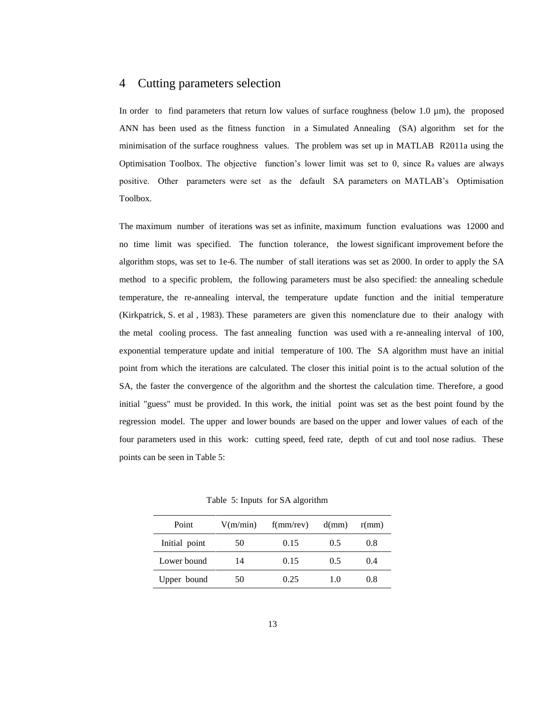### 4 Cutting parameters selection

In order to find parameters that return low values of surface roughness (below 1.0  $\mu$ m), the proposed ANN has been used as the fitness function in a Simulated Annealing (SA) algorithm set for the minimisation of the surface roughness values. The problem was set up in MATLAB R2011a using the Optimisation Toolbox. The objective function's lower limit was set to 0, since Ra values are always positive. Other parameters were set as the default SA parameters on MATLAB's Optimisation Toolbox.

The maximum number of iterations was set as infinite, maximum function evaluations was 12000 and no time limit was specified. The function tolerance, the lowest significant improvement before the algorithm stops, was set to 1e-6. The number of stall iterations was set as 2000. In order to apply the SA method to a specific problem, the following parameters must be also specified: the annealing schedule temperature, the re-annealing interval, the temperature update function and the initial temperature (Kirkpatrick, S. et al , 1983). These parameters are given this nomenclature due to their analogy with the metal cooling process. The fast annealing function was used with a re-annealing interval of 100, exponential temperature update and initial temperature of 100. The SA algorithm must have an initial point from which the iterations are calculated. The closer this initial point is to the actual solution of the SA, the faster the convergence of the algorithm and the shortest the calculation time. Therefore, a good initial "guess" must be provided. In this work, the initial point was set as the best point found by the regression model. The upper and lower bounds are based on the upper and lower values of each of the four parameters used in this work: cutting speed, feed rate, depth of cut and tool nose radius. These points can be seen in Table 5:

| Point         | V(m/min) | f(mm/rev) | d(mm) | r(mm) |
|---------------|----------|-----------|-------|-------|
| Initial point | 50       | 0.15      | 0.5   | 0.8   |
| Lower bound   | 14       | 0.15      | 0.5   | (0.4) |
| Upper bound   | 50       | 0.25      | 10    | 0.8   |

Table 5: Inputs for SA algorithm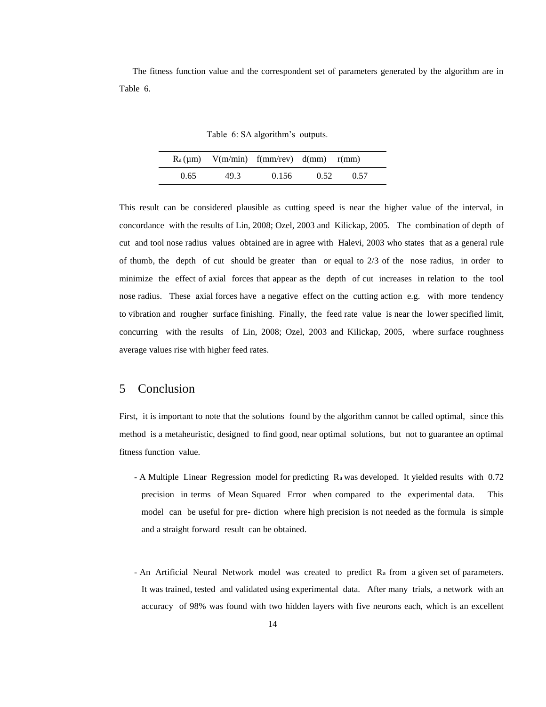The fitness function value and the correspondent set of parameters generated by the algorithm are in Table 6.

Table 6: SA algorithm's outputs.

|      |      | $R_a(\mu m)$ V(m/min) f(mm/rev) d(mm) r(mm) |      |      |  |
|------|------|---------------------------------------------|------|------|--|
| 0.65 | 49.3 | 0.156                                       | 0.52 | 0.57 |  |

This result can be considered plausible as cutting speed is near the higher value of the interval, in concordance with the results of Lin, 2008; Ozel, 2003 and Kilickap, 2005. The combination of depth of cut and tool nose radius values obtained are in agree with Halevi, 2003 who states that as a general rule of thumb, the depth of cut should be greater than or equal to 2/3 of the nose radius, in order to minimize the effect of axial forces that appear as the depth of cut increases in relation to the tool nose radius. These axial forces have a negative effect on the cutting action e.g. with more tendency to vibration and rougher surface finishing. Finally, the feed rate value is near the lower specified limit, concurring with the results of Lin, 2008; Ozel, 2003 and Kilickap, 2005, where surface roughness average values rise with higher feed rates.

## 5 Conclusion

First, it is important to note that the solutions found by the algorithm cannot be called optimal, since this method is a metaheuristic, designed to find good, near optimal solutions, but not to guarantee an optimal fitness function value.

- A Multiple Linear Regression model for predicting Ra was developed. It yielded results with 0.72 precision in terms of Mean Squared Error when compared to the experimental data. This model can be useful for pre- diction where high precision is not needed as the formula is simple and a straight forward result can be obtained.
- An Artificial Neural Network model was created to predict Ra from a given set of parameters. It was trained, tested and validated using experimental data. After many trials, a network with an accuracy of 98% was found with two hidden layers with five neurons each, which is an excellent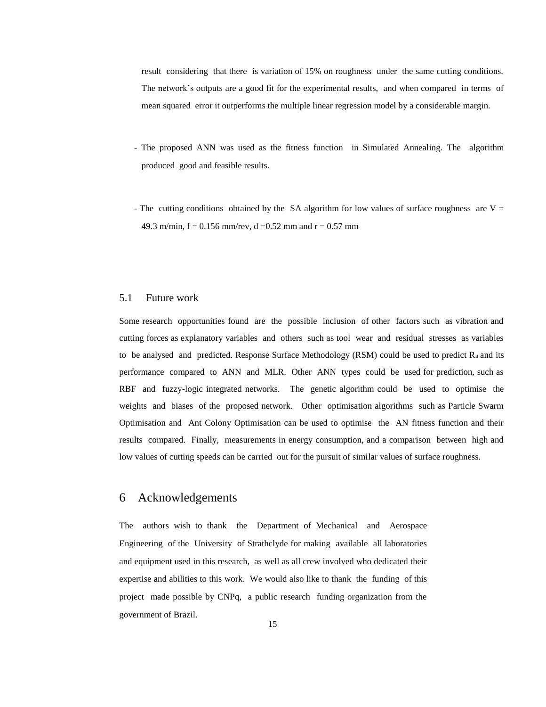result considering that there is variation of 15% on roughness under the same cutting conditions. The network's outputs are a good fit for the experimental results, and when compared in terms of mean squared error it outperforms the multiple linear regression model by a considerable margin.

- The proposed ANN was used as the fitness function in Simulated Annealing. The algorithm produced good and feasible results.
- The cutting conditions obtained by the SA algorithm for low values of surface roughness are  $V =$ 49.3 m/min,  $f = 0.156$  mm/rev,  $d = 0.52$  mm and  $r = 0.57$  mm

#### 5.1 Future work

Some research opportunities found are the possible inclusion of other factors such as vibration and cutting forces as explanatory variables and others such as tool wear and residual stresses as variables to be analysed and predicted. Response Surface Methodology (RSM) could be used to predict  $R_a$  and its performance compared to ANN and MLR. Other ANN types could be used for prediction, such as RBF and fuzzy-logic integrated networks. The genetic algorithm could be used to optimise the weights and biases of the proposed network. Other optimisation algorithms such as Particle Swarm Optimisation and Ant Colony Optimisation can be used to optimise the AN fitness function and their results compared. Finally, measurements in energy consumption, and a comparison between high and low values of cutting speeds can be carried out for the pursuit of similar values of surface roughness.

### 6 Acknowledgements

The authors wish to thank the Department of Mechanical and Aerospace Engineering of the University of Strathclyde for making available all laboratories and equipment used in this research, as well as all crew involved who dedicated their expertise and abilities to this work. We would also like to thank the funding of this project made possible by CNPq, a public research funding organization from the government of Brazil.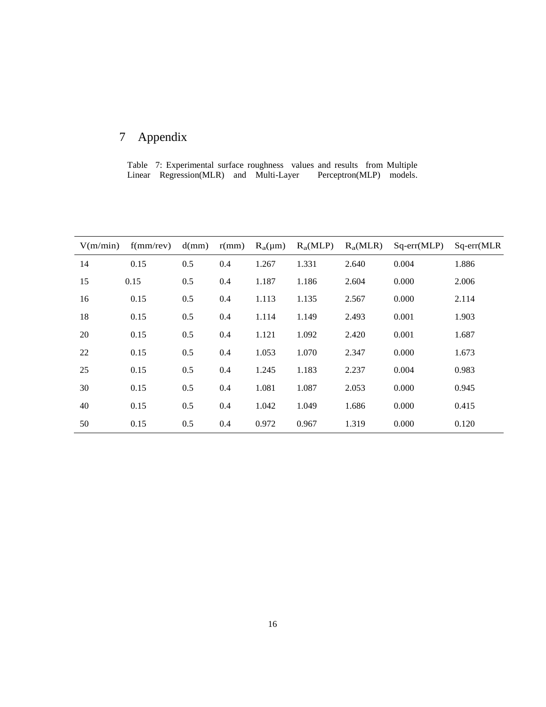# 7 Appendix

Table 7: Experimental surface roughness values and results from Multiple Linear Regression(MLR) and Multi-Layer Perceptron(MLP) models.

| V(m/min) | f(mm/rev) | d(mm) | r(mm) | $R_a(\mu m)$ | $R_a(MLP)$ | $R_a(MLR)$ | $Sq-err(MLP)$ | $Sq-err(MLR)$ |
|----------|-----------|-------|-------|--------------|------------|------------|---------------|---------------|
| 14       | 0.15      | 0.5   | 0.4   | 1.267        | 1.331      | 2.640      | 0.004         | 1.886         |
| 15       | 0.15      | 0.5   | 0.4   | 1.187        | 1.186      | 2.604      | 0.000         | 2.006         |
| 16       | 0.15      | 0.5   | 0.4   | 1.113        | 1.135      | 2.567      | 0.000         | 2.114         |
| 18       | 0.15      | 0.5   | 0.4   | 1.114        | 1.149      | 2.493      | 0.001         | 1.903         |
| 20       | 0.15      | 0.5   | 0.4   | 1.121        | 1.092      | 2.420      | 0.001         | 1.687         |
| 22       | 0.15      | 0.5   | 0.4   | 1.053        | 1.070      | 2.347      | 0.000         | 1.673         |
| 25       | 0.15      | 0.5   | 0.4   | 1.245        | 1.183      | 2.237      | 0.004         | 0.983         |
| 30       | 0.15      | 0.5   | 0.4   | 1.081        | 1.087      | 2.053      | 0.000         | 0.945         |
| 40       | 0.15      | 0.5   | 0.4   | 1.042        | 1.049      | 1.686      | 0.000         | 0.415         |
| 50       | 0.15      | 0.5   | 0.4   | 0.972        | 0.967      | 1.319      | 0.000         | 0.120         |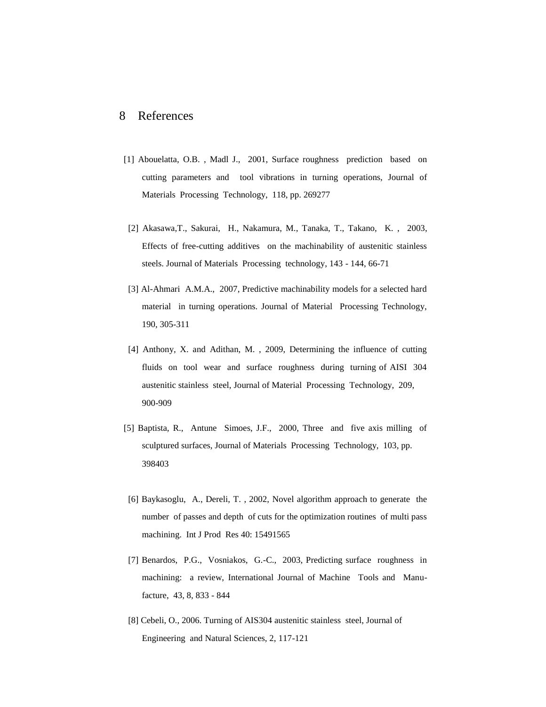### 8 References

- [1] Abouelatta, O.B. , Madl J., 2001, Surface roughness prediction based on cutting parameters and tool vibrations in turning operations, Journal of Materials Processing Technology, 118, pp. 269277
- [2] Akasawa,T., Sakurai, H., Nakamura, M., Tanaka, T., Takano, K. , 2003, Effects of free-cutting additives on the machinability of austenitic stainless steels. Journal of Materials Processing technology, 143 - 144, 66-71
- [3] Al-Ahmari A.M.A., 2007, Predictive machinability models for a selected hard material in turning operations. Journal of Material Processing Technology, 190, 305-311
- [4] Anthony, X. and Adithan, M. , 2009, Determining the influence of cutting fluids on tool wear and surface roughness during turning of AISI 304 austenitic stainless steel, Journal of Material Processing Technology, 209, 900-909
- [5] Baptista, R., Antune Simoes, J.F., 2000, Three and five axis milling of sculptured surfaces, Journal of Materials Processing Technology, 103, pp. 398403
- [6] Baykasoglu, A., Dereli, T. , 2002, Novel algorithm approach to generate the number of passes and depth of cuts for the optimization routines of multi pass machining. Int J Prod Res 40: 15491565
- [7] Benardos, P.G., Vosniakos, G.-C., 2003, Predicting surface roughness in machining: a review, International Journal of Machine Tools and Manufacture, 43, 8, 833 - 844
- [8] Cebeli, O., 2006. Turning of AIS304 austenitic stainless steel, Journal of Engineering and Natural Sciences, 2, 117-121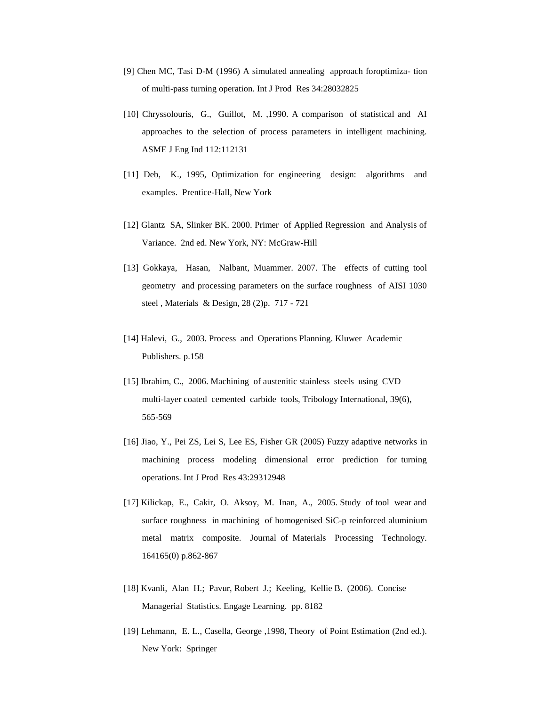- [9] Chen MC, Tasi D-M (1996) A simulated annealing approach foroptimiza- tion of multi-pass turning operation. Int J Prod Res 34:28032825
- [10] Chryssolouris, G., Guillot, M. ,1990. A comparison of statistical and AI approaches to the selection of process parameters in intelligent machining. ASME J Eng Ind 112:112131
- [11] Deb, K., 1995, Optimization for engineering design: algorithms and examples. Prentice-Hall, New York
- [12] Glantz SA, Slinker BK. 2000. Primer of Applied Regression and Analysis of Variance. 2nd ed. New York, NY: McGraw-Hill
- [13] Gokkaya, Hasan, Nalbant, Muammer. 2007. The effects of cutting tool geometry and processing parameters on the surface roughness of AISI 1030 steel , Materials & Design, 28 (2)p. 717 - 721
- [14] Halevi, G., 2003. Process and Operations Planning. Kluwer Academic Publishers. p.158
- [15] Ibrahim, C., 2006. Machining of austenitic stainless steels using CVD multi-layer coated cemented carbide tools, Tribology International, 39(6), 565-569
- [16] Jiao, Y., Pei ZS, Lei S, Lee ES, Fisher GR (2005) Fuzzy adaptive networks in machining process modeling dimensional error prediction for turning operations. Int J Prod Res 43:29312948
- [17] Kilickap, E., Cakir, O. Aksoy, M. Inan, A., 2005. Study of tool wear and surface roughness in machining of homogenised SiC-p reinforced aluminium metal matrix composite. Journal of Materials Processing Technology. 164165(0) p.862-867
- [18] Kvanli, Alan H.; Pavur, Robert J.; Keeling, Kellie B. (2006). Concise Managerial Statistics. Engage Learning. pp. 8182
- [19] Lehmann, E. L., Casella, George ,1998, Theory of Point Estimation (2nd ed.). New York: Springer